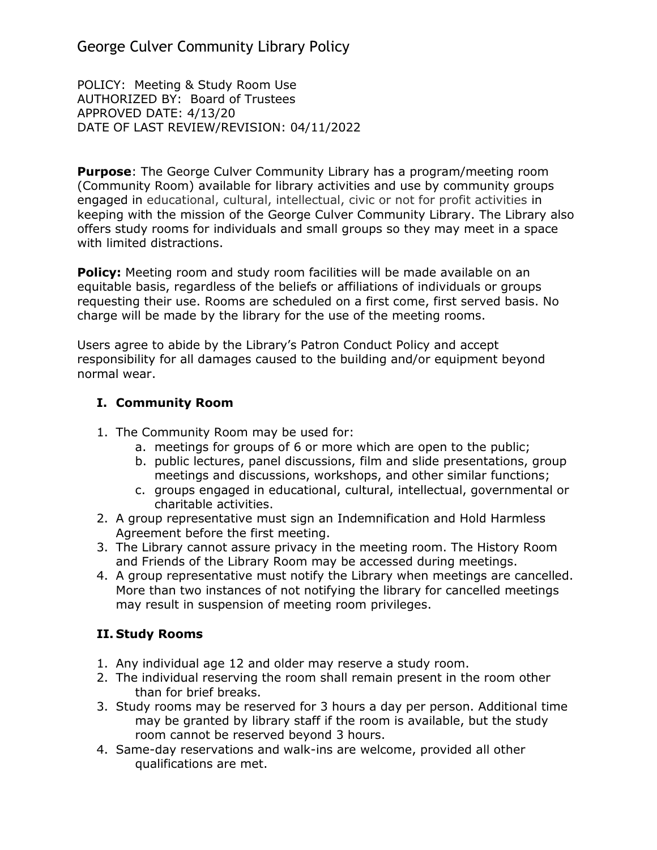George Culver Community Library Policy

POLICY: Meeting & Study Room Use AUTHORIZED BY: Board of Trustees APPROVED DATE: 4/13/20 DATE OF LAST REVIEW/REVISION: 04/11/2022

**Purpose**: The George Culver Community Library has a program/meeting room (Community Room) available for library activities and use by community groups engaged in educational, cultural, intellectual, civic or not for profit activities in keeping with the mission of the George Culver Community Library. The Library also offers study rooms for individuals and small groups so they may meet in a space with limited distractions.

**Policy:** Meeting room and study room facilities will be made available on an equitable basis, regardless of the beliefs or affiliations of individuals or groups requesting their use. Rooms are scheduled on a first come, first served basis. No charge will be made by the library for the use of the meeting rooms.

Users agree to abide by the Library's Patron Conduct Policy and accept responsibility for all damages caused to the building and/or equipment beyond normal wear.

## **I. Community Room**

- 1. The Community Room may be used for:
	- a. meetings for groups of 6 or more which are open to the public;
	- b. public lectures, panel discussions, film and slide presentations, group meetings and discussions, workshops, and other similar functions;
	- c. groups engaged in educational, cultural, intellectual, governmental or charitable activities.
- 2. A group representative must sign an Indemnification and Hold Harmless Agreement before the first meeting.
- 3. The Library cannot assure privacy in the meeting room. The History Room and Friends of the Library Room may be accessed during meetings.
- 4. A group representative must notify the Library when meetings are cancelled. More than two instances of not notifying the library for cancelled meetings may result in suspension of meeting room privileges.

## **II. Study Rooms**

- 1. Any individual age 12 and older may reserve a study room.
- 2. The individual reserving the room shall remain present in the room other than for brief breaks.
- 3. Study rooms may be reserved for 3 hours a day per person. Additional time may be granted by library staff if the room is available, but the study room cannot be reserved beyond 3 hours.
- 4. Same-day reservations and walk-ins are welcome, provided all other qualifications are met.